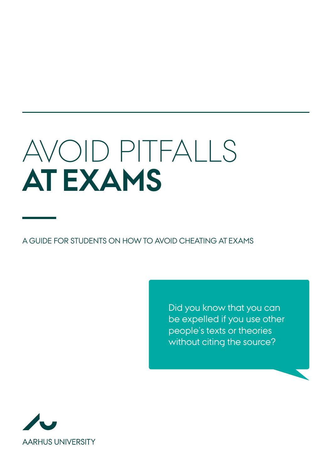# Avoid pitfalls **at exams**

A guide for students on how to avoid cheating at exams

Did you know that you can be expelled if you use other people's texts or theories without citing the source?

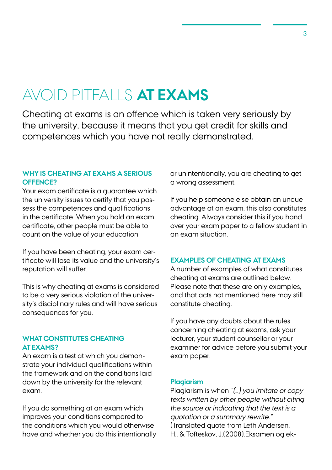# AVOID PITFALLS **AT EXAMS**

Cheating at exams is an offence which is taken very seriously by the university, because it means that you get credit for skills and competences which you have not really demonstrated.

# **WHY IS CHEATING AT EXAMS A SERIOUS OFFENCE?**

Your exam certificate is a guarantee which the university issues to certify that you possess the competences and qualifications in the certificate. When you hold an exam certificate, other people must be able to count on the value of your education.

If you have been cheating, your exam certificate will lose its value and the university's reputation will suffer.

This is why cheating at exams is considered to be a very serious violation of the university's disciplinary rules and will have serious consequences for you.

# **WHAT CONSTITUTES CHEATING AT EXAMS?**

An exam is a test at which you demonstrate your individual qualifications within the framework and on the conditions laid down by the university for the relevant exam.

If you do something at an exam which improves your conditions compared to the conditions which you would otherwise have and whether you do this intentionally or unintentionally, you are cheating to get a wrong assessment.

If you help someone else obtain an undue advantage at an exam, this also constitutes cheating. Always consider this if you hand over your exam paper to a fellow student in an exam situation.

# **EXAMPLES OF CHEATING AT EXAMS**

A number of examples of what constitutes cheating at exams are outlined below. Please note that these are only examples, and that acts not mentioned here may still constitute cheating.

If you have any doubts about the rules concerning cheating at exams, ask your lecturer, your student counsellor or your examiner for advice before you submit your exam paper.

### **Plagiarism**

Plagiarism is when "(…) you imitate or copy texts written by other people without citing the source or indicating that the text is a quotation or a summary rewrite." (Translated quote from Leth Andersen, H., & Tofteskov, J.(2008).Eksamen og ek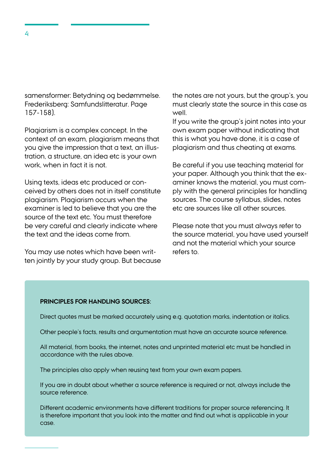samensformer: Betydning og bedømmelse. Frederiksberg: Samfundslitteratur. Page 157-158).

Plagiarism is a complex concept. In the context of an exam, plagiarism means that you give the impression that a text, an illustration, a structure, an idea etc is your own work, when in fact it is not.

Using texts, ideas etc produced or conceived by others does not in itself constitute plagiarism. Plagiarism occurs when the examiner is led to believe that you are the source of the text etc. You must therefore be very careful and clearly indicate where the text and the ideas come from.

You may use notes which have been written jointly by your study group. But because the notes are not yours, but the group's, you must clearly state the source in this case as well.

If you write the group's joint notes into your own exam paper without indicating that this is what you have done, it is a case of plagiarism and thus cheating at exams.

Be careful if you use teaching material for your paper. Although you think that the examiner knows the material, you must comply with the general principles for handling sources. The course syllabus, slides, notes etc are sources like all other sources.

Please note that you must always refer to the source material, you have used yourself and not the material which your source refers to.

#### **Principles for handling sources:**

Direct quotes must be marked accurately using e.g. quotation marks, indentation or italics.

Other people's facts, results and argumentation must have an accurate source reference.

All material, from books, the internet, notes and unprinted material etc must be handled in accordance with the rules above.

The principles also apply when reusing text from your own exam papers.

If you are in doubt about whether a source reference is required or not, always include the source reference.

Different academic environments have different traditions for proper source referencing. It is therefore important that you look into the matter and find out what is applicable in your case.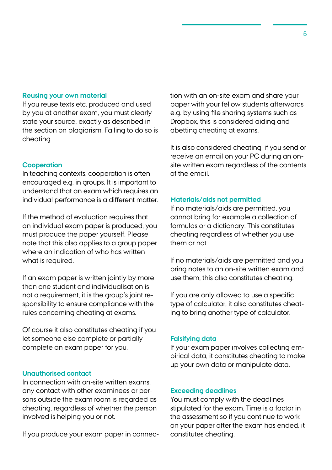#### **Reusing your own material**

If you reuse texts etc. produced and used by you at another exam, you must clearly state your source, exactly as described in the section on plagiarism. Failing to do so is cheating.

# **Cooperation**

In teaching contexts, cooperation is often encouraged e.g. in groups. It is important to understand that an exam which requires an individual performance is a different matter.

If the method of evaluation requires that an individual exam paper is produced, you must produce the paper yourself. Please note that this also applies to a group paper where an indication of who has written what is required.

If an exam paper is written jointly by more than one student and individualisation is not a requirement, it is the group's joint responsibility to ensure compliance with the rules concerning cheating at exams.

Of course it also constitutes cheating if you let someone else complete or partially complete an exam paper for you.

# **Unauthorised contact**

In connection with on-site written exams, any contact with other examinees or persons outside the exam room is regarded as cheating, regardless of whether the person involved is helping you or not.

If you produce your exam paper in connec-

tion with an on-site exam and share your paper with your fellow students afterwards e.g. by using file sharing systems such as Dropbox, this is considered aiding and abetting cheating at exams.

It is also considered cheating, if you send or receive an email on your PC during an onsite written exam regardless of the contents of the email.

#### **Materials/aids not permitted**

If no materials/aids are permitted, you cannot bring for example a collection of formulas or a dictionary. This constitutes cheating regardless of whether you use them or not.

If no materials/aids are permitted and you bring notes to an on-site written exam and use them, this also constitutes cheating.

If you are only allowed to use a specific type of calculator, it also constitutes cheating to bring another type of calculator.

#### **Falsifying data**

If your exam paper involves collecting empirical data, it constitutes cheating to make up your own data or manipulate data.

#### **Exceeding deadlines**

You must comply with the deadlines stipulated for the exam. Time is a factor in the assessment so if you continue to work on your paper after the exam has ended, it constitutes cheating.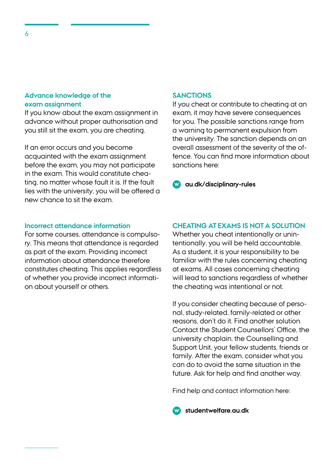### **Advance knowledge of the exam assignment**

If you know about the exam assignment in advance without proper authorisation and you still sit the exam, you are cheating.

If an error occurs and you become acquainted with the exam assignment before the exam, you may not participate in the exam. This would constitute cheating, no matter whose fault it is. If the fault lies with the university, you will be offered a new chance to sit the exam.

# **Incorrect attendance information**

For some courses, attendance is compulsory. This means that attendance is regarded as part of the exam. Providing incorrect information about attendance therefore constitutes cheating. This applies regardless of whether you provide incorrect information about yourself or others.

#### **SANCTIONS**

If you cheat or contribute to cheating at an exam, it may have severe consequences for you. The possible sanctions range from a warning to permanent expulsion from the university. The sanction depends on an overall assessment of the severity of the offence. You can find more information about sanctions here:

**[au.dk/disciplinary-rules](http://au.dk/disciplinary-rules)**

# **CHEATING AT EXAMS IS NOT A SOLUTION**

Whether you cheat intentionally or unintentionally, you will be held accountable. As a student, it is your responsibility to be familiar with the rules concerning cheating at exams. All cases concerning cheating will lead to sanctions regardless of whether the cheating was intentional or not.

If you consider cheating because of personal, study-related, family-related or other reasons, don't do it. Find another solution. Contact the Student Counsellors' Office, the university chaplain, the Counselling and Support Unit, your fellow students, friends or family. After the exam, consider what you can do to avoid the same situation in the future. Ask for help and find another way.

Find help and contact information here:

**[studentwelfare.au.dk](http://studentwelfare.au.dk)**